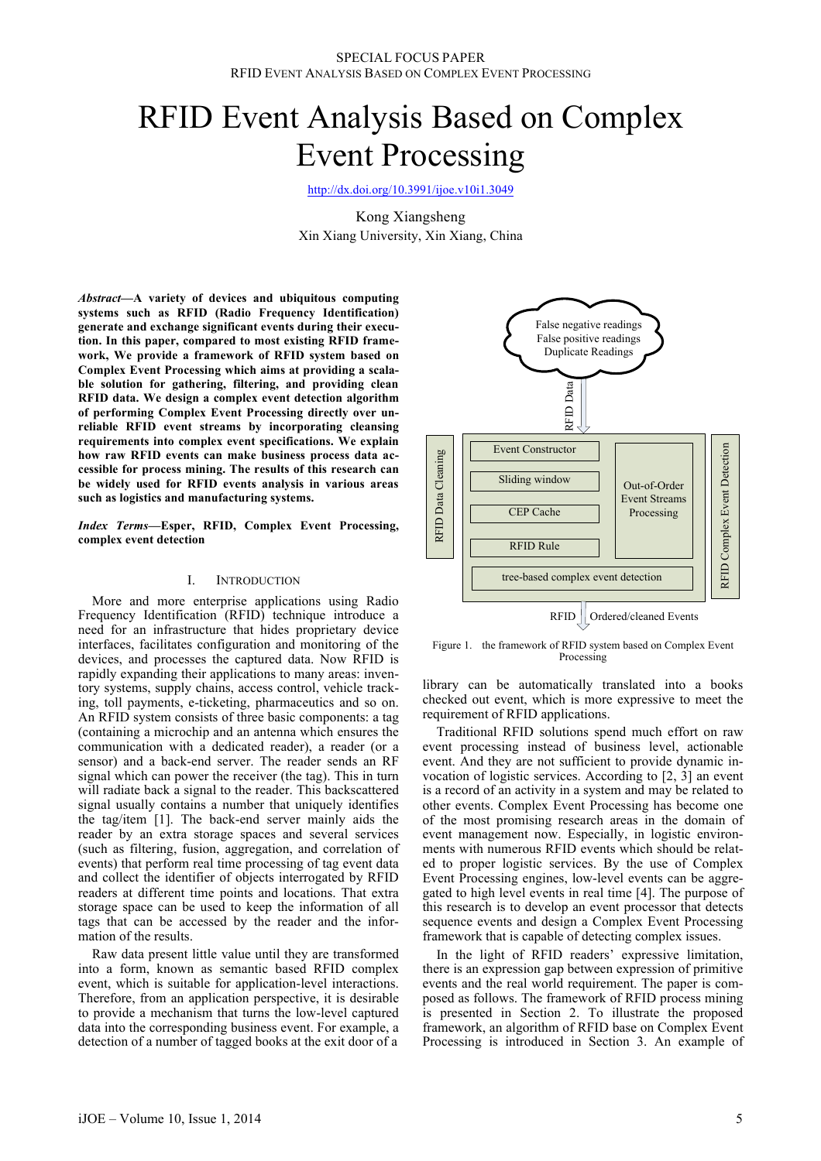# RFID Event Analysis Based on Complex Event Processing

http://dx.doi.org/10.3991/ijoe.v10i1.3049

Kong Xiangsheng Xin Xiang University, Xin Xiang, China

*Abstract***—A variety of devices and ubiquitous computing systems such as RFID (Radio Frequency Identification) generate and exchange significant events during their execution. In this paper, compared to most existing RFID framework, We provide a framework of RFID system based on Complex Event Processing which aims at providing a scalable solution for gathering, filtering, and providing clean RFID data. We design a complex event detection algorithm of performing Complex Event Processing directly over unreliable RFID event streams by incorporating cleansing requirements into complex event specifications. We explain how raw RFID events can make business process data accessible for process mining. The results of this research can be widely used for RFID events analysis in various areas such as logistics and manufacturing systems.**

*Index Terms***—Esper, RFID, Complex Event Processing, complex event detection** 

#### I. INTRODUCTION

More and more enterprise applications using Radio Frequency Identification (RFID) technique introduce a need for an infrastructure that hides proprietary device interfaces, facilitates configuration and monitoring of the devices, and processes the captured data. Now RFID is rapidly expanding their applications to many areas: inventory systems, supply chains, access control, vehicle tracking, toll payments, e-ticketing, pharmaceutics and so on. An RFID system consists of three basic components: a tag (containing a microchip and an antenna which ensures the communication with a dedicated reader), a reader (or a sensor) and a back-end server. The reader sends an RF signal which can power the receiver (the tag). This in turn will radiate back a signal to the reader. This backscattered signal usually contains a number that uniquely identifies the tag/item [1]. The back-end server mainly aids the reader by an extra storage spaces and several services (such as filtering, fusion, aggregation, and correlation of events) that perform real time processing of tag event data and collect the identifier of objects interrogated by RFID readers at different time points and locations. That extra storage space can be used to keep the information of all tags that can be accessed by the reader and the information of the results.

Raw data present little value until they are transformed into a form, known as semantic based RFID complex event, which is suitable for application-level interactions. Therefore, from an application perspective, it is desirable to provide a mechanism that turns the low-level captured data into the corresponding business event. For example, a detection of a number of tagged books at the exit door of a



Figure 1. the framework of RFID system based on Complex Event Processing

library can be automatically translated into a books checked out event, which is more expressive to meet the requirement of RFID applications.

Traditional RFID solutions spend much effort on raw event processing instead of business level, actionable event. And they are not sufficient to provide dynamic invocation of logistic services. According to [2, 3] an event is a record of an activity in a system and may be related to other events. Complex Event Processing has become one of the most promising research areas in the domain of event management now. Especially, in logistic environments with numerous RFID events which should be related to proper logistic services. By the use of Complex Event Processing engines, low-level events can be aggregated to high level events in real time [4]. The purpose of this research is to develop an event processor that detects sequence events and design a Complex Event Processing framework that is capable of detecting complex issues.

In the light of RFID readers' expressive limitation, there is an expression gap between expression of primitive events and the real world requirement. The paper is composed as follows. The framework of RFID process mining is presented in Section 2. To illustrate the proposed framework, an algorithm of RFID base on Complex Event Processing is introduced in Section 3. An example of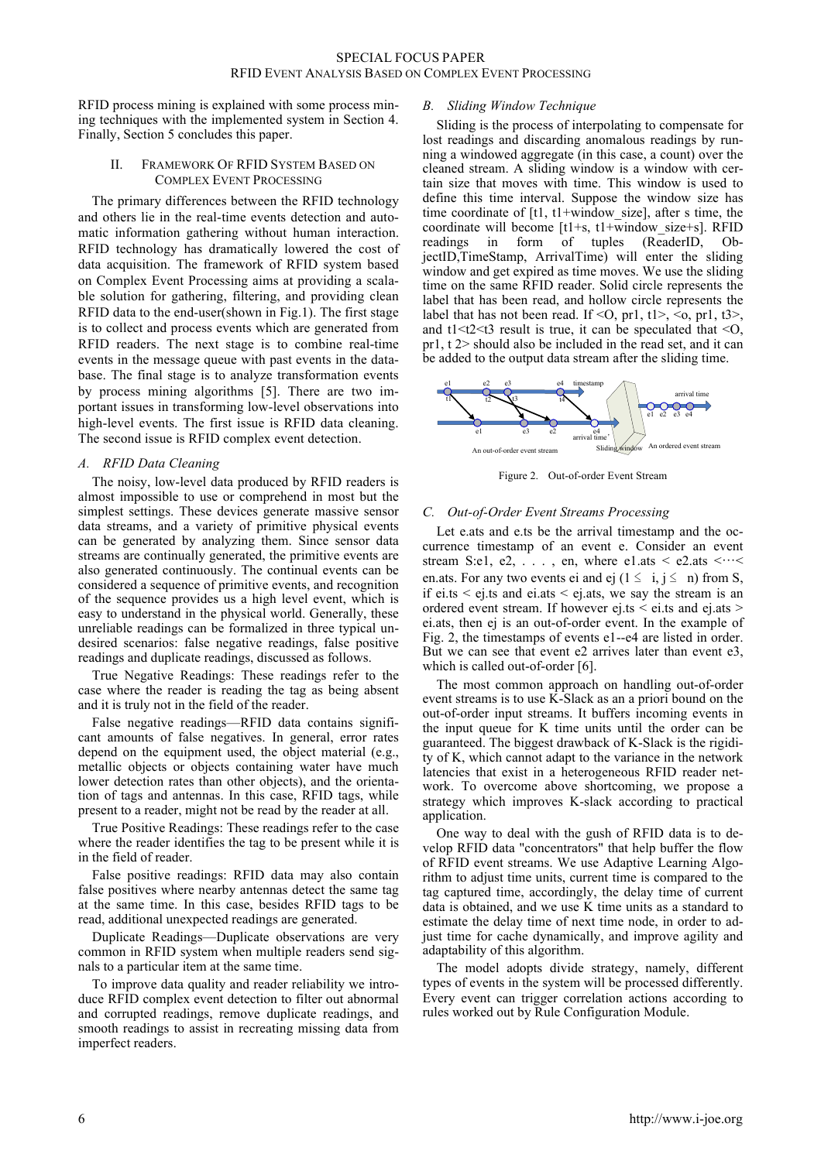RFID process mining is explained with some process mining techniques with the implemented system in Section 4. Finally, Section 5 concludes this paper.

## II. FRAMEWORK OF RFID SYSTEM BASED ON COMPLEX EVENT PROCESSING

The primary differences between the RFID technology and others lie in the real-time events detection and automatic information gathering without human interaction. RFID technology has dramatically lowered the cost of data acquisition. The framework of RFID system based on Complex Event Processing aims at providing a scalable solution for gathering, filtering, and providing clean RFID data to the end-user(shown in Fig.1). The first stage is to collect and process events which are generated from RFID readers. The next stage is to combine real-time events in the message queue with past events in the database. The final stage is to analyze transformation events by process mining algorithms [5]. There are two important issues in transforming low-level observations into high-level events. The first issue is RFID data cleaning. The second issue is RFID complex event detection.

# *A. RFID Data Cleaning*

The noisy, low-level data produced by RFID readers is almost impossible to use or comprehend in most but the simplest settings. These devices generate massive sensor data streams, and a variety of primitive physical events can be generated by analyzing them. Since sensor data streams are continually generated, the primitive events are also generated continuously. The continual events can be considered a sequence of primitive events, and recognition of the sequence provides us a high level event, which is easy to understand in the physical world. Generally, these unreliable readings can be formalized in three typical undesired scenarios: false negative readings, false positive readings and duplicate readings, discussed as follows.

True Negative Readings: These readings refer to the case where the reader is reading the tag as being absent and it is truly not in the field of the reader.

False negative readings—RFID data contains significant amounts of false negatives. In general, error rates depend on the equipment used, the object material (e.g., metallic objects or objects containing water have much lower detection rates than other objects), and the orientation of tags and antennas. In this case, RFID tags, while present to a reader, might not be read by the reader at all.

True Positive Readings: These readings refer to the case where the reader identifies the tag to be present while it is in the field of reader.

False positive readings: RFID data may also contain false positives where nearby antennas detect the same tag at the same time. In this case, besides RFID tags to be read, additional unexpected readings are generated.

Duplicate Readings—Duplicate observations are very common in RFID system when multiple readers send signals to a particular item at the same time.

To improve data quality and reader reliability we introduce RFID complex event detection to filter out abnormal and corrupted readings, remove duplicate readings, and smooth readings to assist in recreating missing data from imperfect readers.

# *B. Sliding Window Technique*

Sliding is the process of interpolating to compensate for lost readings and discarding anomalous readings by running a windowed aggregate (in this case, a count) over the cleaned stream. A sliding window is a window with certain size that moves with time. This window is used to define this time interval. Suppose the window size has time coordinate of  $[t1, t1+$ window size], after s time, the coordinate will become [t1+s, t1+window\_size+s]. RFID readings in form of tuples (ReaderID, ObjectID,TimeStamp, ArrivalTime) will enter the sliding window and get expired as time moves. We use the sliding time on the same RFID reader. Solid circle represents the label that has been read, and hollow circle represents the label that has not been read. If <0, pr1, t1>, <0, pr1, t3>, and  $t<1 < t<2 < t<sup>3</sup>$  result is true, it can be speculated that  $< 0$ , pr1, t 2> should also be included in the read set, and it can be added to the output data stream after the sliding time.



Figure 2. Out-of-order Event Stream

## *C. Out-of-Order Event Streams Processing*

Let e.ats and e.ts be the arrival timestamp and the occurrence timestamp of an event e. Consider an event stream S:e1, e2,  $\dots$ , en, where e1.ats < e2.ats < $\dots$ en.ats. For any two events ei and ej  $(1 \le i, j \le n)$  from S, if ei.ts  $\le$  ej.ts and ei.ats  $\le$  ej.ats, we say the stream is an ordered event stream. If however ej.ts < ei.ts and ej.ats > ei.ats, then ej is an out-of-order event. In the example of Fig. 2, the timestamps of events e1--e4 are listed in order. But we can see that event e2 arrives later than event e3, which is called out-of-order [6].

The most common approach on handling out-of-order event streams is to use K-Slack as an a priori bound on the out-of-order input streams. It buffers incoming events in the input queue for K time units until the order can be guaranteed. The biggest drawback of K-Slack is the rigidity of K, which cannot adapt to the variance in the network latencies that exist in a heterogeneous RFID reader network. To overcome above shortcoming, we propose a strategy which improves K-slack according to practical application.

One way to deal with the gush of RFID data is to develop RFID data "concentrators" that help buffer the flow of RFID event streams. We use Adaptive Learning Algorithm to adjust time units, current time is compared to the tag captured time, accordingly, the delay time of current data is obtained, and we use K time units as a standard to estimate the delay time of next time node, in order to adjust time for cache dynamically, and improve agility and adaptability of this algorithm.

The model adopts divide strategy, namely, different types of events in the system will be processed differently. Every event can trigger correlation actions according to rules worked out by Rule Configuration Module.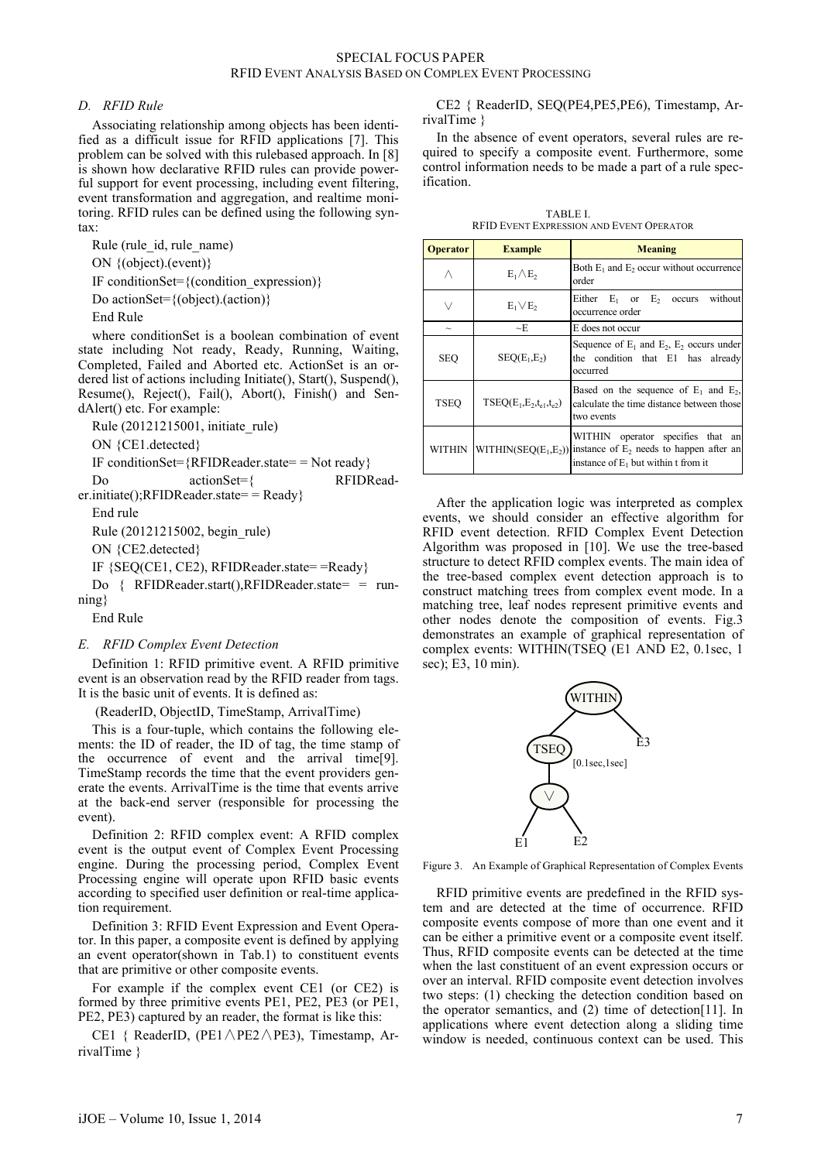# SPECIAL FOCUS PAPER RFID EVENT ANALYSIS BASED ON COMPLEX EVENT PROCESSING

## *D. RFID Rule*

Associating relationship among objects has been identified as a difficult issue for RFID applications [7]. This problem can be solved with this rulebased approach. In [8] is shown how declarative RFID rules can provide powerful support for event processing, including event filtering, event transformation and aggregation, and realtime monitoring. RFID rules can be defined using the following syntax:

Rule (rule\_id, rule\_name) ON {(object).(event)} IF conditionSet= $\{$ (condition\_expression) $\}$ Do actionSet={(object).(action)} End Rule

where conditionSet is a boolean combination of event state including Not ready, Ready, Running, Waiting, Completed, Failed and Aborted etc. ActionSet is an ordered list of actions including Initiate(), Start(), Suspend(), Resume(), Reject(), Fail(), Abort(), Finish() and SendAlert() etc. For example:

Rule (20121215001, initiate\_rule)

ON {CE1.detected}

IF conditionSet= ${RFIDReader.state= Not ready}$ 

Do actionSet={ RFIDReader.initiate(); $RFIDReader.state=$  Ready}

End rule

Rule (20121215002, begin\_rule)

ON {CE2.detected}

IF {SEQ(CE1, CE2), RFIDReader.state= =Ready}

Do  $\{RFIDReader.start() \cdot RFIDReader.state= = run$ ning}

End Rule

#### *E. RFID Complex Event Detection*

Definition 1: RFID primitive event. A RFID primitive event is an observation read by the RFID reader from tags. It is the basic unit of events. It is defined as:

(ReaderID, ObjectID, TimeStamp, ArrivalTime)

This is a four-tuple, which contains the following elements: the ID of reader, the ID of tag, the time stamp of the occurrence of event and the arrival time[9]. TimeStamp records the time that the event providers generate the events. ArrivalTime is the time that events arrive at the back-end server (responsible for processing the event).

Definition 2: RFID complex event: A RFID complex event is the output event of Complex Event Processing engine. During the processing period, Complex Event Processing engine will operate upon RFID basic events according to specified user definition or real-time application requirement.

Definition 3: RFID Event Expression and Event Operator. In this paper, a composite event is defined by applying an event operator(shown in Tab.1) to constituent events that are primitive or other composite events.

For example if the complex event CE1 (or CE2) is formed by three primitive events PE1, PE2, PE3 (or PE1, PE2, PE3) captured by an reader, the format is like this:

CE1 { ReaderID, (PE1 $\triangle$ PE2 $\triangle$ PE3), Timestamp, ArrivalTime }

CE2 { ReaderID, SEQ(PE4,PE5,PE6), Timestamp, ArrivalTime }

In the absence of event operators, several rules are required to specify a composite event. Furthermore, some control information needs to be made a part of a rule specification.

| <b>TABLE L</b>                           |  |
|------------------------------------------|--|
| RFID EVENT EXPRESSION AND EVENT OPERATOR |  |

| <b>Operator</b> | <b>Example</b>                | Meaning                                                                                                                                             |
|-----------------|-------------------------------|-----------------------------------------------------------------------------------------------------------------------------------------------------|
|                 | $E_1 \wedge E_2$              | Both $E_1$ and $E_2$ occur without occurrence<br>order                                                                                              |
|                 | $E_1 \vee E_2$                | Either $E_1$ or $E_2$ occurs<br>without<br>occurrence order                                                                                         |
| $\sim$          | $\sim$ E                      | E does not occur                                                                                                                                    |
| <b>SEQ</b>      | $SEQ(E_1, E_2)$               | Sequence of $E_1$ and $E_2$ , $E_2$ occurs under<br>the condition that E1 has already<br>occurred                                                   |
| <b>TSEO</b>     | $TSEQ(E_1,E_2,t_{e1},t_{e2})$ | Based on the sequence of $E_1$ and $E_2$ ,<br>calculate the time distance between those<br>two events                                               |
| <b>WITHIN</b>   |                               | WITHIN operator specifies that an<br>WITHIN(SEQ( $E_1, E_2$ )) instance of $E_2$ needs to happen after an<br>instance of $E_1$ but within t from it |

After the application logic was interpreted as complex events, we should consider an effective algorithm for RFID event detection. RFID Complex Event Detection Algorithm was proposed in [10]. We use the tree-based structure to detect RFID complex events. The main idea of the tree-based complex event detection approach is to construct matching trees from complex event mode. In a matching tree, leaf nodes represent primitive events and other nodes denote the composition of events. Fig.3 demonstrates an example of graphical representation of complex events: WITHIN(TSEQ (E1 AND E2, 0.1sec, 1 sec); E3, 10 min).



Figure 3. An Example of Graphical Representation of Complex Events

RFID primitive events are predefined in the RFID system and are detected at the time of occurrence. RFID composite events compose of more than one event and it can be either a primitive event or a composite event itself. Thus, RFID composite events can be detected at the time when the last constituent of an event expression occurs or over an interval. RFID composite event detection involves two steps: (1) checking the detection condition based on the operator semantics, and (2) time of detection[11]. In applications where event detection along a sliding time window is needed, continuous context can be used. This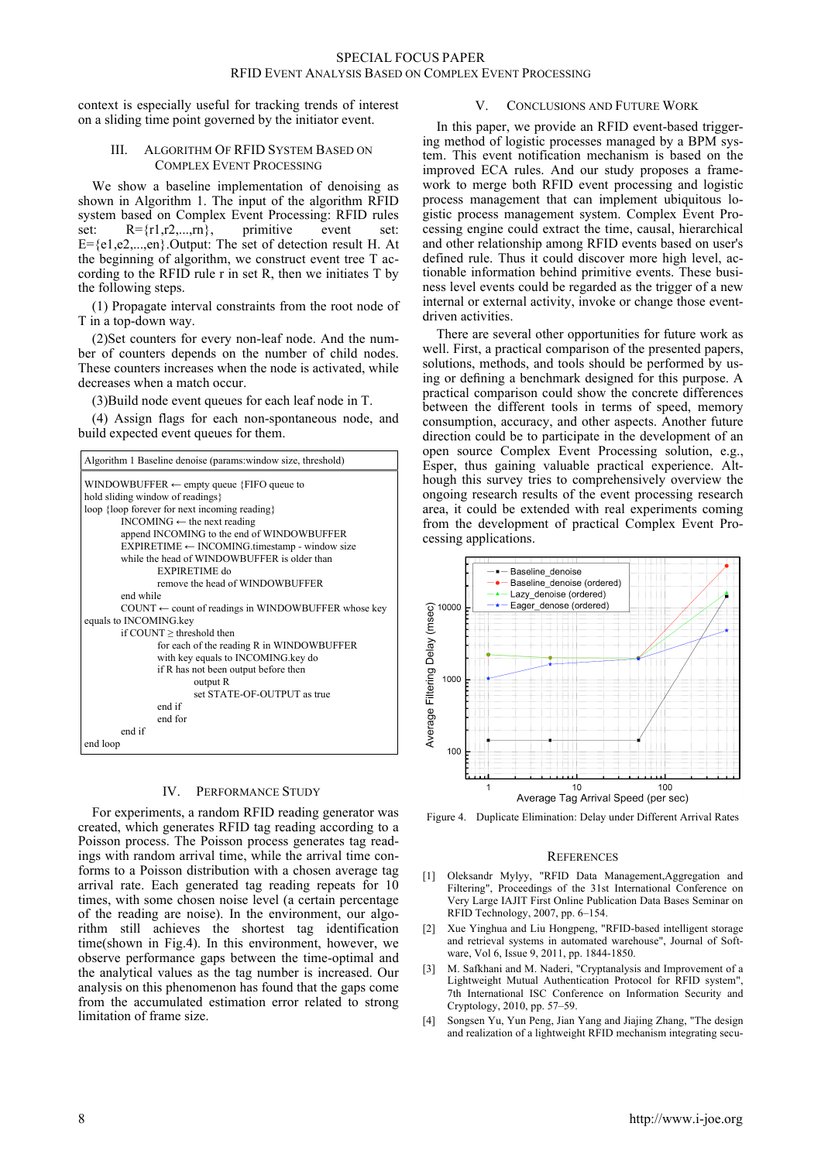context is especially useful for tracking trends of interest on a sliding time point governed by the initiator event.

#### III. ALGORITHM OF RFID SYSTEM BASED ON COMPLEX EVENT PROCESSING

We show a baseline implementation of denoising as shown in Algorithm 1. The input of the algorithm RFID system based on Complex Event Processing: RFID rules set:  $R = \{r1, r2, \ldots, rn\}$ , primitive event set: E={e1,e2,...,en}.Output: The set of detection result H. At the beginning of algorithm, we construct event tree T according to the RFID rule r in set R, then we initiates T by the following steps.

(1) Propagate interval constraints from the root node of T in a top-down way.

(2)Set counters for every non-leaf node. And the number of counters depends on the number of child nodes. These counters increases when the node is activated, while decreases when a match occur.

(3)Build node event queues for each leaf node in T.

(4) Assign flags for each non-spontaneous node, and build expected event queues for them.

| Algorithm 1 Baseline denoise (params: window size, threshold)          |  |  |  |
|------------------------------------------------------------------------|--|--|--|
| $WINDOWBUFFER \leftarrow \text{empty queue } \{ FIFO \text{ queue to}$ |  |  |  |
| hold sliding window of readings                                        |  |  |  |
| loop {loop forever for next incoming reading}                          |  |  |  |
| INCOMING $\leftarrow$ the next reading                                 |  |  |  |
| append INCOMING to the end of WINDOWBUFFER                             |  |  |  |
| $EXPIRETIME \leftarrow INCOMING.time stamp - window size$              |  |  |  |
| while the head of WINDOWBUFFER is older than                           |  |  |  |
| EXPIRETIME do                                                          |  |  |  |
| remove the head of WINDOWBUFFER                                        |  |  |  |
| end while                                                              |  |  |  |
| $COUNT \leftarrow$ count of readings in WINDOWBUFFER whose key         |  |  |  |
| equals to INCOMING.key                                                 |  |  |  |
| if $COUNT$ > threshold then                                            |  |  |  |
| for each of the reading R in WINDOWBUFFER                              |  |  |  |
| with key equals to INCOMING.key do                                     |  |  |  |
| if R has not been output before then                                   |  |  |  |
| output R                                                               |  |  |  |
| set STATE-OF-OUTPUT as true                                            |  |  |  |
| end if                                                                 |  |  |  |
| end for                                                                |  |  |  |
| end if                                                                 |  |  |  |
| end loop                                                               |  |  |  |

# IV. PERFORMANCE STUDY

For experiments, a random RFID reading generator was created, which generates RFID tag reading according to a Poisson process. The Poisson process generates tag readings with random arrival time, while the arrival time conforms to a Poisson distribution with a chosen average tag arrival rate. Each generated tag reading repeats for 10 times, with some chosen noise level (a certain percentage of the reading are noise). In the environment, our algorithm still achieves the shortest tag identification time(shown in Fig.4). In this environment, however, we observe performance gaps between the time-optimal and the analytical values as the tag number is increased. Our analysis on this phenomenon has found that the gaps come from the accumulated estimation error related to strong limitation of frame size.

## V. CONCLUSIONS AND FUTURE WORK

In this paper, we provide an RFID event-based triggering method of logistic processes managed by a BPM system. This event notification mechanism is based on the improved ECA rules. And our study proposes a framework to merge both RFID event processing and logistic process management that can implement ubiquitous logistic process management system. Complex Event Processing engine could extract the time, causal, hierarchical and other relationship among RFID events based on user's defined rule. Thus it could discover more high level, actionable information behind primitive events. These business level events could be regarded as the trigger of a new internal or external activity, invoke or change those eventdriven activities.

There are several other opportunities for future work as well. First, a practical comparison of the presented papers, solutions, methods, and tools should be performed by using or defining a benchmark designed for this purpose. A practical comparison could show the concrete differences between the different tools in terms of speed, memory consumption, accuracy, and other aspects. Another future direction could be to participate in the development of an open source Complex Event Processing solution, e.g., Esper, thus gaining valuable practical experience. Although this survey tries to comprehensively overview the ongoing research results of the event processing research area, it could be extended with real experiments coming from the development of practical Complex Event Processing applications.



Figure 4. Duplicate Elimination: Delay under Different Arrival Rates

#### **REFERENCES**

- [1] Oleksandr Mylyy, "RFID Data Management,Aggregation and Filtering", Proceedings of the 31st International Conference on Very Large IAJIT First Online Publication Data Bases Seminar on RFID Technology, 2007, pp. 6–154.
- [2] Xue Yinghua and Liu Hongpeng, "RFID-based intelligent storage and retrieval systems in automated warehouse", Journal of Software, Vol 6, Issue 9, 2011, pp. 1844-1850.
- [3] M. Safkhani and M. Naderi, "Cryptanalysis and Improvement of a Lightweight Mutual Authentication Protocol for RFID system", 7th International ISC Conference on Information Security and Cryptology, 2010, pp. 57–59.
- [4] Songsen Yu, Yun Peng, Jian Yang and Jiajing Zhang, "The design and realization of a lightweight RFID mechanism integrating secu-